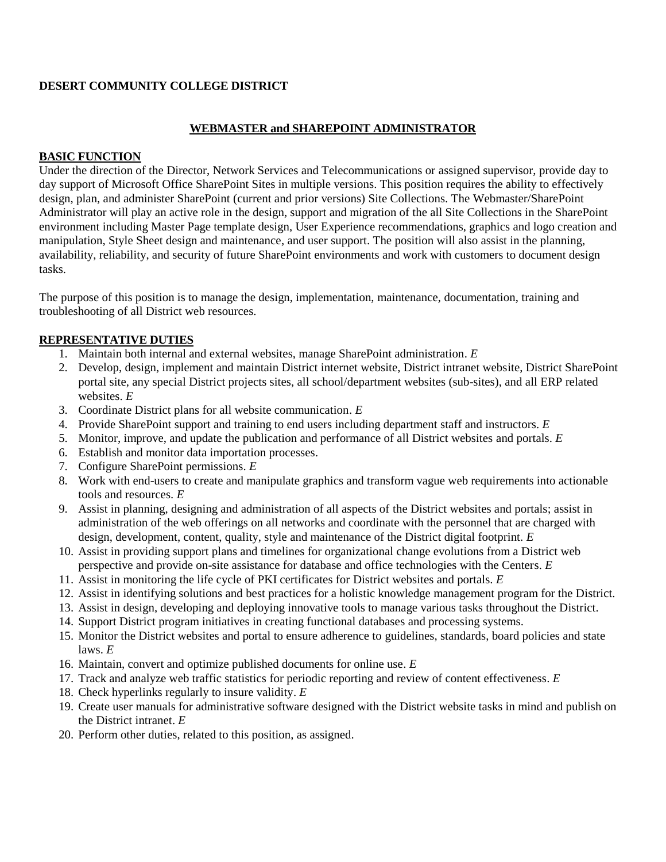#### **DESERT COMMUNITY COLLEGE DISTRICT**

## **WEBMASTER and SHAREPOINT ADMINISTRATOR**

#### **BASIC FUNCTION**

Under the direction of the Director, Network Services and Telecommunications or assigned supervisor, provide day to day support of Microsoft Office SharePoint Sites in multiple versions. This position requires the ability to effectively design, plan, and administer SharePoint (current and prior versions) Site Collections. The Webmaster/SharePoint Administrator will play an active role in the design, support and migration of the all Site Collections in the SharePoint environment including Master Page template design, User Experience recommendations, graphics and logo creation and manipulation, Style Sheet design and maintenance, and user support. The position will also assist in the planning, availability, reliability, and security of future SharePoint environments and work with customers to document design tasks.

The purpose of this position is to manage the design, implementation, maintenance, documentation, training and troubleshooting of all District web resources.

#### **REPRESENTATIVE DUTIES**

- 1. Maintain both internal and external websites, manage SharePoint administration. *E*
- 2. Develop, design, implement and maintain District internet website, District intranet website, District SharePoint portal site, any special District projects sites, all school/department websites (sub-sites), and all ERP related websites. *E*
- 3. Coordinate District plans for all website communication. *E*
- 4. Provide SharePoint support and training to end users including department staff and instructors. *E*
- 5. Monitor, improve, and update the publication and performance of all District websites and portals. *E*
- 6. Establish and monitor data importation processes.
- 7. Configure SharePoint permissions. *E*
- 8. Work with end-users to create and manipulate graphics and transform vague web requirements into actionable tools and resources. *E*
- 9. Assist in planning, designing and administration of all aspects of the District websites and portals; assist in administration of the web offerings on all networks and coordinate with the personnel that are charged with design, development, content, quality, style and maintenance of the District digital footprint. *E*
- 10. Assist in providing support plans and timelines for organizational change evolutions from a District web perspective and provide on-site assistance for database and office technologies with the Centers. *E*
- 11. Assist in monitoring the life cycle of PKI certificates for District websites and portals. *E*
- 12. Assist in identifying solutions and best practices for a holistic knowledge management program for the District.
- 13. Assist in design, developing and deploying innovative tools to manage various tasks throughout the District.
- 14. Support District program initiatives in creating functional databases and processing systems.
- 15. Monitor the District websites and portal to ensure adherence to guidelines, standards, board policies and state laws. *E*
- 16. Maintain, convert and optimize published documents for online use. *E*
- 17. Track and analyze web traffic statistics for periodic reporting and review of content effectiveness. *E*
- 18. Check hyperlinks regularly to insure validity. *E*
- 19. Create user manuals for administrative software designed with the District website tasks in mind and publish on the District intranet. *E*
- 20. Perform other duties, related to this position, as assigned.